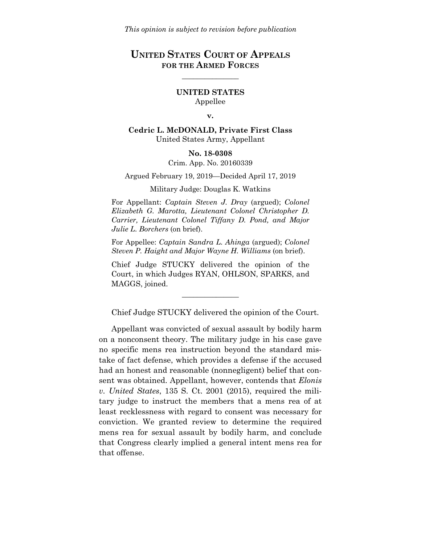# **UNITED STATES COURT OF APPEALS FOR THE ARMED FORCES**

\_\_\_\_\_\_\_\_\_\_\_\_\_\_\_

## **UNITED STATES** Appellee

#### **v.**

**Cedric L. McDONALD, Private First Class** United States Army, Appellant

#### **No. 18-0308**

Crim. App. No. 20160339

Argued February 19, 2019—Decided April 17, 2019

Military Judge: Douglas K. Watkins

For Appellant: *Captain Steven J. Dray* (argued); *Colonel Elizabeth G. Marotta, Lieutenant Colonel Christopher D. Carrier, Lieutenant Colonel Tiffany D. Pond, and Major Julie L. Borchers* (on brief).

For Appellee: *Captain Sandra L. Ahinga* (argued); *Colonel Steven P. Haight and Major Wayne H. Williams* (on brief).

Chief Judge STUCKY delivered the opinion of the Court, in which Judges RYAN, OHLSON, SPARKS, and MAGGS, joined.

\_\_\_\_\_\_\_\_\_\_\_\_\_\_\_

Chief Judge STUCKY delivered the opinion of the Court.

Appellant was convicted of sexual assault by bodily harm on a nonconsent theory. The military judge in his case gave no specific mens rea instruction beyond the standard mistake of fact defense, which provides a defense if the accused had an honest and reasonable (nonnegligent) belief that consent was obtained. Appellant, however, contends that *Elonis v. United States*, 135 S. Ct. 2001 (2015), required the military judge to instruct the members that a mens rea of at least recklessness with regard to consent was necessary for conviction. We granted review to determine the required mens rea for sexual assault by bodily harm, and conclude that Congress clearly implied a general intent mens rea for that offense.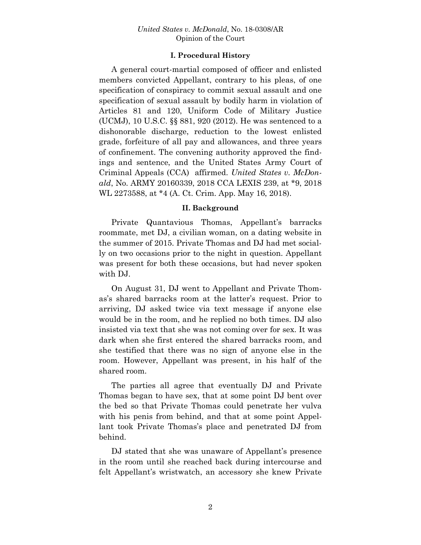## **I. Procedural History**

A general court-martial composed of officer and enlisted members convicted Appellant, contrary to his pleas, of one specification of conspiracy to commit sexual assault and one specification of sexual assault by bodily harm in violation of Articles 81 and 120, Uniform Code of Military Justice (UCMJ), 10 U.S.C. §§ 881, 920 (2012). He was sentenced to a dishonorable discharge, reduction to the lowest enlisted grade, forfeiture of all pay and allowances, and three years of confinement. The convening authority approved the findings and sentence, and the United States Army Court of Criminal Appeals (CCA) affirmed. *United States v. McDonald*, No. ARMY 20160339, 2018 CCA LEXIS 239, at \*9, 2018 WL 2273588, at \*4 (A. Ct. Crim. App. May 16, 2018).

## **II. Background**

Private Quantavious Thomas, Appellant's barracks roommate, met DJ, a civilian woman, on a dating website in the summer of 2015. Private Thomas and DJ had met socially on two occasions prior to the night in question. Appellant was present for both these occasions, but had never spoken with DJ.

On August 31, DJ went to Appellant and Private Thomas's shared barracks room at the latter's request. Prior to arriving, DJ asked twice via text message if anyone else would be in the room, and he replied no both times. DJ also insisted via text that she was not coming over for sex. It was dark when she first entered the shared barracks room, and she testified that there was no sign of anyone else in the room. However, Appellant was present, in his half of the shared room.

The parties all agree that eventually DJ and Private Thomas began to have sex, that at some point DJ bent over the bed so that Private Thomas could penetrate her vulva with his penis from behind, and that at some point Appellant took Private Thomas's place and penetrated DJ from behind.

DJ stated that she was unaware of Appellant's presence in the room until she reached back during intercourse and felt Appellant's wristwatch, an accessory she knew Private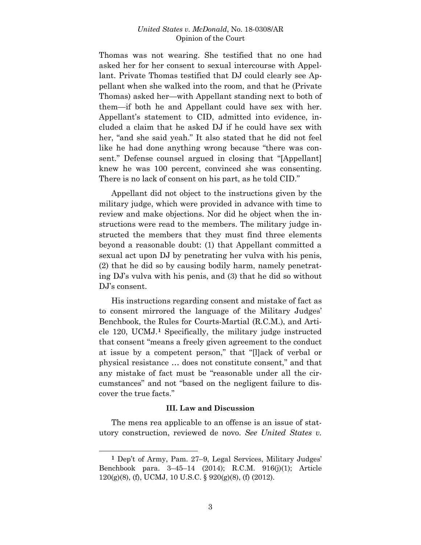Thomas was not wearing. She testified that no one had asked her for her consent to sexual intercourse with Appellant. Private Thomas testified that DJ could clearly see Appellant when she walked into the room, and that he (Private Thomas) asked her—with Appellant standing next to both of them—if both he and Appellant could have sex with her. Appellant's statement to CID, admitted into evidence, included a claim that he asked DJ if he could have sex with her, "and she said yeah." It also stated that he did not feel like he had done anything wrong because "there was consent." Defense counsel argued in closing that "[Appellant] knew he was 100 percent, convinced she was consenting. There is no lack of consent on his part, as he told CID."

Appellant did not object to the instructions given by the military judge, which were provided in advance with time to review and make objections. Nor did he object when the instructions were read to the members. The military judge instructed the members that they must find three elements beyond a reasonable doubt: (1) that Appellant committed a sexual act upon DJ by penetrating her vulva with his penis, (2) that he did so by causing bodily harm, namely penetrating DJ's vulva with his penis, and (3) that he did so without DJ's consent.

His instructions regarding consent and mistake of fact as to consent mirrored the language of the Military Judges' Benchbook, the Rules for Courts-Martial (R.C.M.), and Article 120, UCMJ.**[1](#page-2-0)** Specifically, the military judge instructed that consent "means a freely given agreement to the conduct at issue by a competent person," that "[l]ack of verbal or physical resistance … does not constitute consent," and that any mistake of fact must be "reasonable under all the circumstances" and not "based on the negligent failure to discover the true facts."

## **III. Law and Discussion**

The mens rea applicable to an offense is an issue of statutory construction, reviewed de novo. *See United States v.* 

 $\overline{a}$ 

<span id="page-2-0"></span>**<sup>1</sup>** Dep't of Army, Pam. 27–9, Legal Services, Military Judges' Benchbook para. 3–45–14 (2014); R.C.M. 916(j)(1); Article  $120(g)(8)$ , (f), UCMJ, 10 U.S.C. § 920(g)(8), (f) (2012).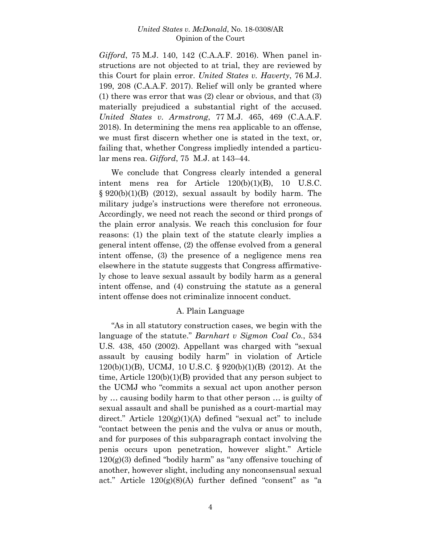*Gifford*, 75 M.J. 140, 142 (C.A.A.F. 2016). When panel instructions are not objected to at trial, they are reviewed by this Court for plain error. *United States v. Haverty*, 76 M.J. 199, 208 (C.A.A.F. 2017). Relief will only be granted where (1) there was error that was (2) clear or obvious, and that (3) materially prejudiced a substantial right of the accused. *United States v. Armstrong*, 77 M.J. 465, 469 (C.A.A.F. 2018). In determining the mens rea applicable to an offense, we must first discern whether one is stated in the text, or, failing that, whether Congress impliedly intended a particular mens rea. *Gifford*, 75 M.J. at 143–44.

We conclude that Congress clearly intended a general intent mens rea for Article 120(b)(1)(B), 10 U.S.C. § 920(b)(1)(B) (2012), sexual assault by bodily harm. The military judge's instructions were therefore not erroneous. Accordingly, we need not reach the second or third prongs of the plain error analysis. We reach this conclusion for four reasons: (1) the plain text of the statute clearly implies a general intent offense, (2) the offense evolved from a general intent offense, (3) the presence of a negligence mens rea elsewhere in the statute suggests that Congress affirmatively chose to leave sexual assault by bodily harm as a general intent offense, and (4) construing the statute as a general intent offense does not criminalize innocent conduct.

### A. Plain Language

"As in all statutory construction cases, we begin with the language of the statute." *Barnhart v Sigmon Coal Co.*, 534 U.S. 438, 450 (2002). Appellant was charged with "sexual assault by causing bodily harm" in violation of Article 120(b)(1)(B), UCMJ, 10 U.S.C. § 920(b)(1)(B) (2012). At the time, Article 120(b)(1)(B) provided that any person subject to the UCMJ who "commits a sexual act upon another person by … causing bodily harm to that other person … is guilty of sexual assault and shall be punished as a court-martial may direct." Article  $120(g)(1)(A)$  defined "sexual act" to include "contact between the penis and the vulva or anus or mouth, and for purposes of this subparagraph contact involving the penis occurs upon penetration, however slight." Article  $120(g)(3)$  defined "bodily harm" as "any offensive touching of another, however slight, including any nonconsensual sexual act." Article  $120(g)(8)(A)$  further defined "consent" as "a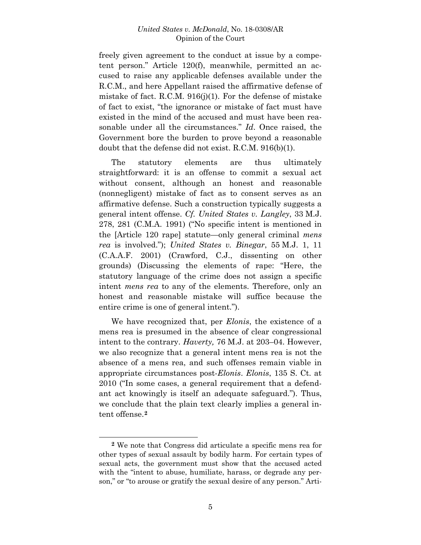freely given agreement to the conduct at issue by a competent person." Article 120(f), meanwhile, permitted an accused to raise any applicable defenses available under the R.C.M., and here Appellant raised the affirmative defense of mistake of fact. R.C.M. 916(j)(1). For the defense of mistake of fact to exist, "the ignorance or mistake of fact must have existed in the mind of the accused and must have been reasonable under all the circumstances." *Id*. Once raised, the Government bore the burden to prove beyond a reasonable doubt that the defense did not exist. R.C.M. 916(b)(1).

The statutory elements are thus ultimately straightforward: it is an offense to commit a sexual act without consent, although an honest and reasonable (nonnegligent) mistake of fact as to consent serves as an affirmative defense. Such a construction typically suggests a general intent offense. *Cf. United States v. Langley*, 33 M.J. 278, 281 (C.M.A. 1991) ("No specific intent is mentioned in the [Article 120 rape] statute—only general criminal *mens rea* is involved."); *United States v. Binegar*, 55 M.J. 1, 11 (C.A.A.F. 2001) (Crawford, C.J., dissenting on other grounds) (Discussing the elements of rape: "Here, the statutory language of the crime does not assign a specific intent *mens rea* to any of the elements. Therefore, only an honest and reasonable mistake will suffice because the entire crime is one of general intent.").

We have recognized that, per *Elonis*, the existence of a mens rea is presumed in the absence of clear congressional intent to the contrary. *Haverty,* 76 M.J. at 203–04. However, we also recognize that a general intent mens rea is not the absence of a mens rea, and such offenses remain viable in appropriate circumstances post-*Elonis*. *Elonis*, 135 S. Ct. at 2010 ("In some cases, a general requirement that a defendant act knowingly is itself an adequate safeguard."). Thus, we conclude that the plain text clearly implies a general intent offense.**[2](#page-4-0)**

<span id="page-4-0"></span>**<sup>2</sup>** We note that Congress did articulate a specific mens rea for other types of sexual assault by bodily harm. For certain types of sexual acts, the government must show that the accused acted with the "intent to abuse, humiliate, harass, or degrade any person," or "to arouse or gratify the sexual desire of any person." Arti-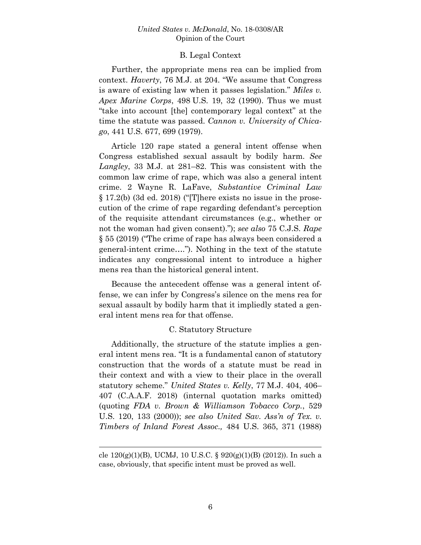## B. Legal Context

Further, the appropriate mens rea can be implied from context. *Haverty*, 76 M.J. at 204. "We assume that Congress is aware of existing law when it passes legislation." *Miles v. Apex Marine Corps*, 498 U.S. 19, 32 (1990). Thus we must "take into account [the] contemporary legal context" at the time the statute was passed. *Cannon v. University of Chicago*, 441 U.S. 677, 699 (1979).

Article 120 rape stated a general intent offense when Congress established sexual assault by bodily harm. *See Langley*, 33 M.J. at 281–82. This was consistent with the common law crime of rape, which was also a general intent crime. 2 Wayne R. LaFave, *Substantive Criminal Law* § 17.2(b) (3d ed. 2018) ("[T]here exists no issue in the prosecution of the crime of rape regarding defendant's perception of the requisite attendant circumstances (e.g., whether or not the woman had given consent)."); *see also* 75 C.J.S. *Rape* § 55 (2019) ("The crime of rape has always been considered a general-intent crime…."). Nothing in the text of the statute indicates any congressional intent to introduce a higher mens rea than the historical general intent.

Because the antecedent offense was a general intent offense, we can infer by Congress's silence on the mens rea for sexual assault by bodily harm that it impliedly stated a general intent mens rea for that offense.

## C. Statutory Structure

Additionally, the structure of the statute implies a general intent mens rea. "It is a fundamental canon of statutory construction that the words of a statute must be read in their context and with a view to their place in the overall statutory scheme." *United States v. Kelly*, 77 M.J. 404, 406– 407 (C.A.A.F. 2018) (internal quotation marks omitted) (quoting *FDA v. Brown & Williamson Tobacco Corp.*, 529 U.S. 120, 133 (2000)); *see also United Sav. Ass'n of Tex. v. Timbers of Inland Forest Assoc.,* 484 U.S. 365, 371 (1988)

 $\overline{a}$ 

cle  $120(g)(1)(B)$ , UCMJ, 10 U.S.C. §  $920(g)(1)(B)$  (2012)). In such a case, obviously, that specific intent must be proved as well.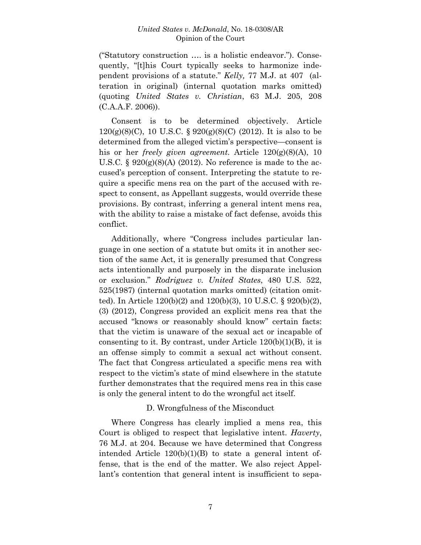("Statutory construction …. is a holistic endeavor."). Consequently, "[t]his Court typically seeks to harmonize independent provisions of a statute." *Kelly,* 77 M.J. at 407 (alteration in original) (internal quotation marks omitted) (quoting *United States v. Christian*, 63 M.J. 205, 208 (C.A.A.F. 2006)).

Consent is to be determined objectively. Article  $120(g)(8)(C)$ , 10 U.S.C. § 920(g)(8)(C) (2012). It is also to be determined from the alleged victim's perspective—consent is his or her *freely given agreement*. Article 120(g)(8)(A), 10 U.S.C.  $\S 920(g)(8)(A)$  (2012). No reference is made to the accused's perception of consent. Interpreting the statute to require a specific mens rea on the part of the accused with respect to consent, as Appellant suggests, would override these provisions. By contrast, inferring a general intent mens rea, with the ability to raise a mistake of fact defense, avoids this conflict.

Additionally, where "Congress includes particular language in one section of a statute but omits it in another section of the same Act, it is generally presumed that Congress acts intentionally and purposely in the disparate inclusion or exclusion." *Rodriguez v. United States*, 480 U.S. 522, 525(1987) (internal quotation marks omitted) (citation omitted). In Article 120(b)(2) and 120(b)(3), 10 U.S.C. § 920(b)(2), (3) (2012), Congress provided an explicit mens rea that the accused "knows or reasonably should know" certain facts: that the victim is unaware of the sexual act or incapable of consenting to it. By contrast, under Article  $120(b)(1)(B)$ , it is an offense simply to commit a sexual act without consent. The fact that Congress articulated a specific mens rea with respect to the victim's state of mind elsewhere in the statute further demonstrates that the required mens rea in this case is only the general intent to do the wrongful act itself.

## D. Wrongfulness of the Misconduct

Where Congress has clearly implied a mens rea, this Court is obliged to respect that legislative intent. *Haverty*, 76 M.J. at 204. Because we have determined that Congress intended Article 120(b)(1)(B) to state a general intent offense, that is the end of the matter. We also reject Appellant's contention that general intent is insufficient to sepa-